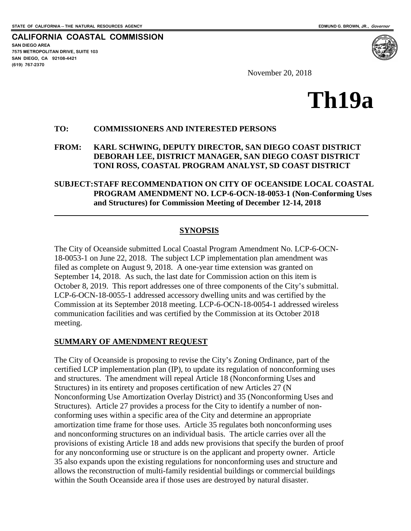**CALIFORNIA COASTAL COMMISSION SAN DIEGO AREA 7575 METROPOLITAN DRIVE, SUITE 103 SAN DIEGO, CA 92108-4421 (619) 767-2370**



November 20, 2018

# **Th19a**

#### **TO: COMMISSIONERS AND INTERESTED PERSONS**

#### **FROM: KARL SCHWING, DEPUTY DIRECTOR, SAN DIEGO COAST DISTRICT DEBORAH LEE, DISTRICT MANAGER, SAN DIEGO COAST DISTRICT TONI ROSS, COASTAL PROGRAM ANALYST, SD COAST DISTRICT**

#### **SUBJECT:STAFF RECOMMENDATION ON CITY OF OCEANSIDE LOCAL COASTAL PROGRAM AMENDMENT NO. LCP-6-OCN-18-0053-1 (Non-Conforming Uses and Structures) for Commission Meeting of December 12-14, 2018**

#### **SYNOPSIS**

The City of Oceanside submitted Local Coastal Program Amendment No. LCP-6-OCN-18-0053-1 on June 22, 2018. The subject LCP implementation plan amendment was filed as complete on August 9, 2018. A one-year time extension was granted on September 14, 2018. As such, the last date for Commission action on this item is October 8, 2019. This report addresses one of three components of the City's submittal. LCP-6-OCN-18-0055-1 addressed accessory dwelling units and was certified by the Commission at its September 2018 meeting. LCP-6-OCN-18-0054-1 addressed wireless communication facilities and was certified by the Commission at its October 2018 meeting.

#### **SUMMARY OF AMENDMENT REQUEST**

The City of Oceanside is proposing to revise the City's Zoning Ordinance, part of the certified LCP implementation plan (IP), to update its regulation of nonconforming uses and structures. The amendment will repeal Article 18 (Nonconforming Uses and Structures) in its entirety and proposes certification of new Articles 27 (N Nonconforming Use Amortization Overlay District) and 35 (Nonconforming Uses and Structures). Article 27 provides a process for the City to identify a number of nonconforming uses within a specific area of the City and determine an appropriate amortization time frame for those uses. Article 35 regulates both nonconforming uses and nonconforming structures on an individual basis. The article carries over all the provisions of existing Article 18 and adds new provisions that specify the burden of proof for any nonconforming use or structure is on the applicant and property owner. Article 35 also expands upon the existing regulations for nonconforming uses and structure and allows the reconstruction of multi-family residential buildings or commercial buildings within the South Oceanside area if those uses are destroyed by natural disaster.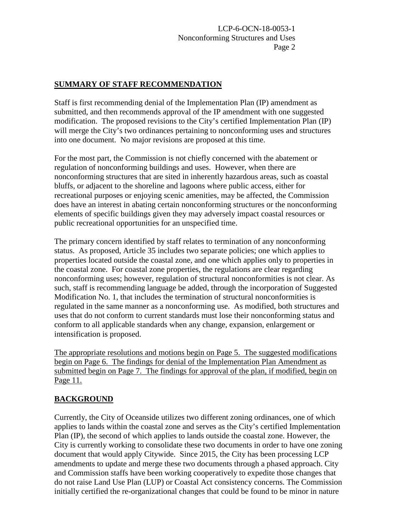#### **SUMMARY OF STAFF RECOMMENDATION**

Staff is first recommending denial of the Implementation Plan (IP) amendment as submitted, and then recommends approval of the IP amendment with one suggested modification. The proposed revisions to the City's certified Implementation Plan (IP) will merge the City's two ordinances pertaining to nonconforming uses and structures into one document. No major revisions are proposed at this time.

For the most part, the Commission is not chiefly concerned with the abatement or regulation of nonconforming buildings and uses. However, when there are nonconforming structures that are sited in inherently hazardous areas, such as coastal bluffs, or adjacent to the shoreline and lagoons where public access, either for recreational purposes or enjoying scenic amenities, may be affected, the Commission does have an interest in abating certain nonconforming structures or the nonconforming elements of specific buildings given they may adversely impact coastal resources or public recreational opportunities for an unspecified time.

The primary concern identified by staff relates to termination of any nonconforming status. As proposed, Article 35 includes two separate policies; one which applies to properties located outside the coastal zone, and one which applies only to properties in the coastal zone. For coastal zone properties, the regulations are clear regarding nonconforming uses; however, regulation of structural nonconformities is not clear. As such, staff is recommending language be added, through the incorporation of Suggested Modification No. 1, that includes the termination of structural nonconformities is regulated in the same manner as a nonconforming use. As modified, both structures and uses that do not conform to current standards must lose their nonconforming status and conform to all applicable standards when any change, expansion, enlargement or intensification is proposed.

The appropriate resolutions and motions begin on Page 5. The suggested modifications begin on Page 6. The findings for denial of the Implementation Plan Amendment as submitted begin on Page 7. The findings for approval of the plan, if modified, begin on Page 11.

## **BACKGROUND**

Currently, the City of Oceanside utilizes two different zoning ordinances, one of which applies to lands within the coastal zone and serves as the City's certified Implementation Plan (IP), the second of which applies to lands outside the coastal zone. However, the City is currently working to consolidate these two documents in order to have one zoning document that would apply Citywide. Since 2015, the City has been processing LCP amendments to update and merge these two documents through a phased approach. City and Commission staffs have been working cooperatively to expedite those changes that do not raise Land Use Plan (LUP) or Coastal Act consistency concerns. The Commission initially certified the re-organizational changes that could be found to be minor in nature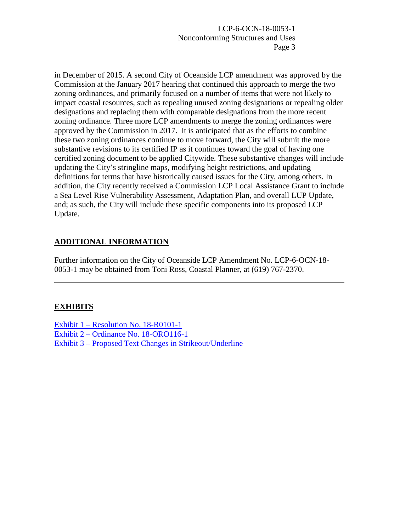in December of 2015. A second City of Oceanside LCP amendment was approved by the Commission at the January 2017 hearing that continued this approach to merge the two zoning ordinances, and primarily focused on a number of items that were not likely to impact coastal resources, such as repealing unused zoning designations or repealing older designations and replacing them with comparable designations from the more recent zoning ordinance. Three more LCP amendments to merge the zoning ordinances were approved by the Commission in 2017. It is anticipated that as the efforts to combine these two zoning ordinances continue to move forward, the City will submit the more substantive revisions to its certified IP as it continues toward the goal of having one certified zoning document to be applied Citywide. These substantive changes will include updating the City's stringline maps, modifying height restrictions, and updating definitions for terms that have historically caused issues for the City, among others. In addition, the City recently received a Commission LCP Local Assistance Grant to include a Sea Level Rise Vulnerability Assessment, Adaptation Plan, and overall LUP Update, and; as such, the City will include these specific components into its proposed LCP Update.

#### **ADDITIONAL INFORMATION**

Further information on the City of Oceanside LCP Amendment No. LCP-6-OCN-18- 0053-1 may be obtained from Toni Ross, Coastal Planner, at (619) 767-2370.

#### **EXHIBITS**

Exhibit 1 – [Resolution No.](https://documents.coastal.ca.gov/reports/2018/12/th19a/th19a-12-2018-exhibits.pdf) 18-R0101-1 Exhibit 2 – [Ordinance No. 18-ORO116-1](https://documents.coastal.ca.gov/reports/2018/12/th19a/th19a-12-2018-exhibits.pdf) Exhibit 3 – [Proposed Text Changes in Strikeout/Underline](https://documents.coastal.ca.gov/reports/2018/12/th19a/th19a-12-2018-exhibits.pdf)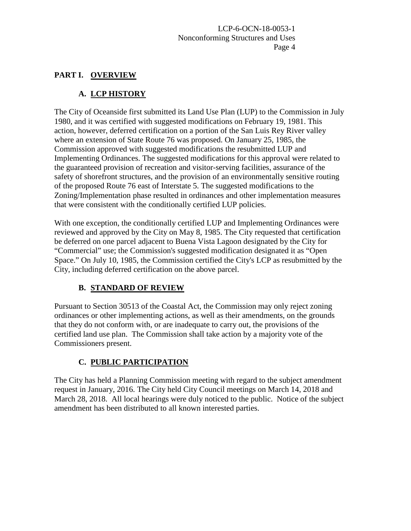#### **PART I. OVERVIEW**

## **A. LCP HISTORY**

The City of Oceanside first submitted its Land Use Plan (LUP) to the Commission in July 1980, and it was certified with suggested modifications on February 19, 1981. This action, however, deferred certification on a portion of the San Luis Rey River valley where an extension of State Route 76 was proposed. On January 25, 1985, the Commission approved with suggested modifications the resubmitted LUP and Implementing Ordinances. The suggested modifications for this approval were related to the guaranteed provision of recreation and visitor-serving facilities, assurance of the safety of shorefront structures, and the provision of an environmentally sensitive routing of the proposed Route 76 east of Interstate 5. The suggested modifications to the Zoning/Implementation phase resulted in ordinances and other implementation measures that were consistent with the conditionally certified LUP policies.

With one exception, the conditionally certified LUP and Implementing Ordinances were reviewed and approved by the City on May 8, 1985. The City requested that certification be deferred on one parcel adjacent to Buena Vista Lagoon designated by the City for "Commercial" use; the Commission's suggested modification designated it as "Open Space." On July 10, 1985, the Commission certified the City's LCP as resubmitted by the City, including deferred certification on the above parcel.

## **B. STANDARD OF REVIEW**

Pursuant to Section 30513 of the Coastal Act, the Commission may only reject zoning ordinances or other implementing actions, as well as their amendments, on the grounds that they do not conform with, or are inadequate to carry out, the provisions of the certified land use plan. The Commission shall take action by a majority vote of the Commissioners present.

## **C. PUBLIC PARTICIPATION**

The City has held a Planning Commission meeting with regard to the subject amendment request in January, 2016. The City held City Council meetings on March 14, 2018 and March 28, 2018. All local hearings were duly noticed to the public. Notice of the subject amendment has been distributed to all known interested parties.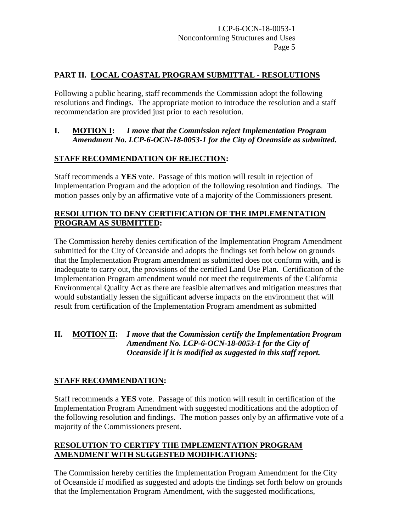#### **PART II. LOCAL COASTAL PROGRAM SUBMITTAL - RESOLUTIONS**

Following a public hearing, staff recommends the Commission adopt the following resolutions and findings. The appropriate motion to introduce the resolution and a staff recommendation are provided just prior to each resolution.

#### **I. MOTION I:** *I move that the Commission reject Implementation Program Amendment No. LCP-6-OCN-18-0053-1 for the City of Oceanside as submitted.*

#### **STAFF RECOMMENDATION OF REJECTION:**

Staff recommends a **YES** vote. Passage of this motion will result in rejection of Implementation Program and the adoption of the following resolution and findings. The motion passes only by an affirmative vote of a majority of the Commissioners present.

#### **RESOLUTION TO DENY CERTIFICATION OF THE IMPLEMENTATION PROGRAM AS SUBMITTED:**

The Commission hereby denies certification of the Implementation Program Amendment submitted for the City of Oceanside and adopts the findings set forth below on grounds that the Implementation Program amendment as submitted does not conform with, and is inadequate to carry out, the provisions of the certified Land Use Plan. Certification of the Implementation Program amendment would not meet the requirements of the California Environmental Quality Act as there are feasible alternatives and mitigation measures that would substantially lessen the significant adverse impacts on the environment that will result from certification of the Implementation Program amendment as submitted

#### **II. MOTION II:** *I move that the Commission certify the Implementation Program Amendment No. LCP-6-OCN-18-0053-1 for the City of Oceanside if it is modified as suggested in this staff report.*

## **STAFF RECOMMENDATION:**

Staff recommends a **YES** vote. Passage of this motion will result in certification of the Implementation Program Amendment with suggested modifications and the adoption of the following resolution and findings. The motion passes only by an affirmative vote of a majority of the Commissioners present.

#### **RESOLUTION TO CERTIFY THE IMPLEMENTATION PROGRAM AMENDMENT WITH SUGGESTED MODIFICATIONS:**

The Commission hereby certifies the Implementation Program Amendment for the City of Oceanside if modified as suggested and adopts the findings set forth below on grounds that the Implementation Program Amendment, with the suggested modifications,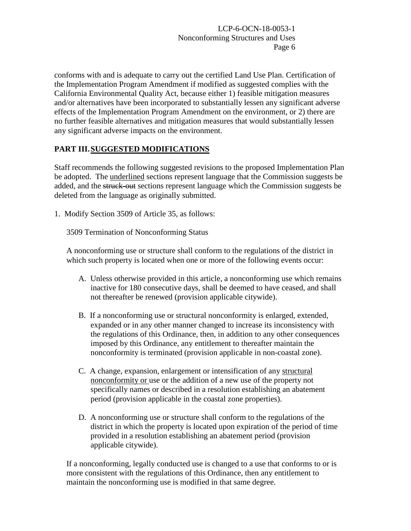conforms with and is adequate to carry out the certified Land Use Plan. Certification of the Implementation Program Amendment if modified as suggested complies with the California Environmental Quality Act, because either 1) feasible mitigation measures and/or alternatives have been incorporated to substantially lessen any significant adverse effects of the Implementation Program Amendment on the environment, or 2) there are no further feasible alternatives and mitigation measures that would substantially lessen any significant adverse impacts on the environment.

#### **PART III.SUGGESTED MODIFICATIONS**

Staff recommends the following suggested revisions to the proposed Implementation Plan be adopted. The underlined sections represent language that the Commission suggests be added, and the struck-out sections represent language which the Commission suggests be deleted from the language as originally submitted.

1. Modify Section 3509 of Article 35, as follows:

3509 Termination of Nonconforming Status

A nonconforming use or structure shall conform to the regulations of the district in which such property is located when one or more of the following events occur:

- A. Unless otherwise provided in this article, a nonconforming use which remains inactive for 180 consecutive days, shall be deemed to have ceased, and shall not thereafter be renewed (provision applicable citywide).
- B. If a nonconforming use or structural nonconformity is enlarged, extended, expanded or in any other manner changed to increase its inconsistency with the regulations of this Ordinance, then, in addition to any other consequences imposed by this Ordinance, any entitlement to thereafter maintain the nonconformity is terminated (provision applicable in non-coastal zone).
- C. A change, expansion, enlargement or intensification of any structural nonconformity or use or the addition of a new use of the property not specifically names or described in a resolution establishing an abatement period (provision applicable in the coastal zone properties).
- D. A nonconforming use or structure shall conform to the regulations of the district in which the property is located upon expiration of the period of time provided in a resolution establishing an abatement period (provision applicable citywide).

If a nonconforming, legally conducted use is changed to a use that conforms to or is more consistent with the regulations of this Ordinance, then any entitlement to maintain the nonconforming use is modified in that same degree.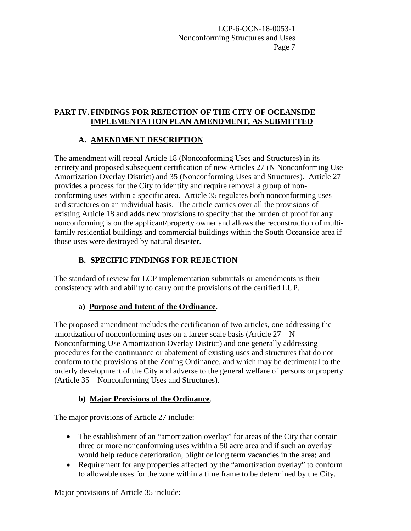#### **PART IV. FINDINGS FOR REJECTION OF THE CITY OF OCEANSIDE IMPLEMENTATION PLAN AMENDMENT, AS SUBMITTED**

# **A. AMENDMENT DESCRIPTION**

The amendment will repeal Article 18 (Nonconforming Uses and Structures) in its entirety and proposed subsequent certification of new Articles 27 (N Nonconforming Use Amortization Overlay District) and 35 (Nonconforming Uses and Structures). Article 27 provides a process for the City to identify and require removal a group of nonconforming uses within a specific area. Article 35 regulates both nonconforming uses and structures on an individual basis. The article carries over all the provisions of existing Article 18 and adds new provisions to specify that the burden of proof for any nonconforming is on the applicant/property owner and allows the reconstruction of multifamily residential buildings and commercial buildings within the South Oceanside area if those uses were destroyed by natural disaster.

# **B. SPECIFIC FINDINGS FOR REJECTION**

The standard of review for LCP implementation submittals or amendments is their consistency with and ability to carry out the provisions of the certified LUP.

## **a) Purpose and Intent of the Ordinance.**

The proposed amendment includes the certification of two articles, one addressing the amortization of nonconforming uses on a larger scale basis (Article  $27 - N$ ) Nonconforming Use Amortization Overlay District) and one generally addressing procedures for the continuance or abatement of existing uses and structures that do not conform to the provisions of the Zoning Ordinance, and which may be detrimental to the orderly development of the City and adverse to the general welfare of persons or property (Article 35 – Nonconforming Uses and Structures).

## **b) Major Provisions of the Ordinance**.

The major provisions of Article 27 include:

- The establishment of an "amortization overlay" for areas of the City that contain three or more nonconforming uses within a 50 acre area and if such an overlay would help reduce deterioration, blight or long term vacancies in the area; and
- Requirement for any properties affected by the "amortization overlay" to conform to allowable uses for the zone within a time frame to be determined by the City.

Major provisions of Article 35 include: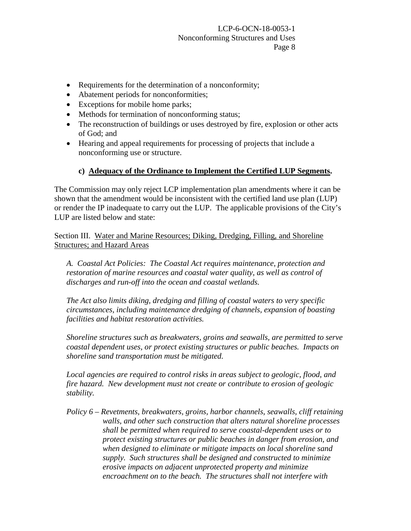- Requirements for the determination of a nonconformity;
- Abatement periods for nonconformities;
- Exceptions for mobile home parks;
- Methods for termination of nonconforming status;
- The reconstruction of buildings or uses destroyed by fire, explosion or other acts of God; and
- Hearing and appeal requirements for processing of projects that include a nonconforming use or structure.

# **c) Adequacy of the Ordinance to Implement the Certified LUP Segments.**

The Commission may only reject LCP implementation plan amendments where it can be shown that the amendment would be inconsistent with the certified land use plan (LUP) or render the IP inadequate to carry out the LUP. The applicable provisions of the City's LUP are listed below and state:

Section III. Water and Marine Resources; Diking, Dredging, Filling, and Shoreline Structures; and Hazard Areas

*A. Coastal Act Policies: The Coastal Act requires maintenance, protection and restoration of marine resources and coastal water quality, as well as control of discharges and run-off into the ocean and coastal wetlands.*

*The Act also limits diking, dredging and filling of coastal waters to very specific circumstances, including maintenance dredging of channels, expansion of boasting facilities and habitat restoration activities.*

*Shoreline structures such as breakwaters, groins and seawalls, are permitted to serve coastal dependent uses, or protect existing structures or public beaches. Impacts on shoreline sand transportation must be mitigated.*

*Local agencies are required to control risks in areas subject to geologic, flood, and fire hazard. New development must not create or contribute to erosion of geologic stability.*

*Policy 6 – Revetments, breakwaters, groins, harbor channels, seawalls, cliff retaining walls, and other such construction that alters natural shoreline processes shall be permitted when required to serve coastal-dependent uses or to protect existing structures or public beaches in danger from erosion, and when designed to eliminate or mitigate impacts on local shoreline sand supply. Such structures shall be designed and constructed to minimize erosive impacts on adjacent unprotected property and minimize encroachment on to the beach. The structures shall not interfere with*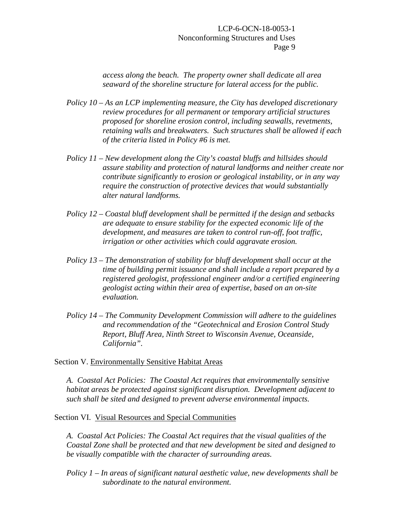*access along the beach. The property owner shall dedicate all area seaward of the shoreline structure for lateral access for the public.*

- *Policy 10 – As an LCP implementing measure, the City has developed discretionary review procedures for all permanent or temporary artificial structures proposed for shoreline erosion control, including seawalls, revetments, retaining walls and breakwaters. Such structures shall be allowed if each of the criteria listed in Policy #6 is met.*
- *Policy 11 – New development along the City's coastal bluffs and hillsides should assure stability and protection of natural landforms and neither create nor contribute significantly to erosion or geological instability, or in any way require the construction of protective devices that would substantially alter natural landforms.*
- *Policy 12 – Coastal bluff development shall be permitted if the design and setbacks are adequate to ensure stability for the expected economic life of the development, and measures are taken to control run-off, foot traffic, irrigation or other activities which could aggravate erosion.*
- *Policy 13 – The demonstration of stability for bluff development shall occur at the time of building permit issuance and shall include a report prepared by a registered geologist, professional engineer and/or a certified engineering geologist acting within their area of expertise, based on an on-site evaluation.*
- *Policy 14 – The Community Development Commission will adhere to the guidelines and recommendation of the "Geotechnical and Erosion Control Study Report, Bluff Area, Ninth Street to Wisconsin Avenue, Oceanside, California".*

Section V. Environmentally Sensitive Habitat Areas

*A. Coastal Act Policies: The Coastal Act requires that environmentally sensitive habitat areas be protected against significant disruption. Development adjacent to such shall be sited and designed to prevent adverse environmental impacts.*

Section VI. Visual Resources and Special Communities

*A. Coastal Act Policies: The Coastal Act requires that the visual qualities of the Coastal Zone shall be protected and that new development be sited and designed to be visually compatible with the character of surrounding areas.*

*Policy 1 – In areas of significant natural aesthetic value, new developments shall be subordinate to the natural environment.*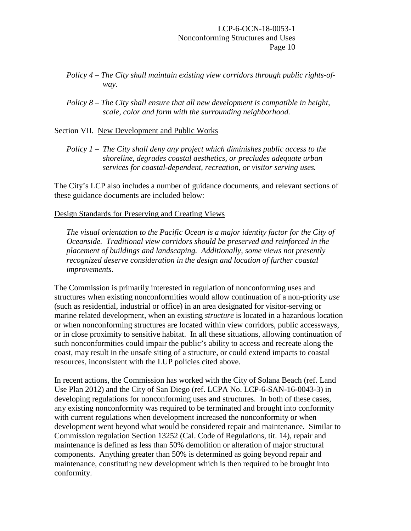- *Policy 4 – The City shall maintain existing view corridors through public rights-ofway.*
- *Policy 8 – The City shall ensure that all new development is compatible in height, scale, color and form with the surrounding neighborhood.*

Section VII. New Development and Public Works

*Policy 1 – The City shall deny any project which diminishes public access to the shoreline, degrades coastal aesthetics, or precludes adequate urban services for coastal-dependent, recreation, or visitor serving uses.*

The City's LCP also includes a number of guidance documents, and relevant sections of these guidance documents are included below:

#### Design Standards for Preserving and Creating Views

*The visual orientation to the Pacific Ocean is a major identity factor for the City of Oceanside. Traditional view corridors should be preserved and reinforced in the placement of buildings and landscaping. Additionally, some views not presently recognized deserve consideration in the design and location of further coastal improvements.*

The Commission is primarily interested in regulation of nonconforming uses and structures when existing nonconformities would allow continuation of a non-priority *use* (such as residential, industrial or office) in an area designated for visitor-serving or marine related development, when an existing *structure* is located in a hazardous location or when nonconforming structures are located within view corridors, public accessways, or in close proximity to sensitive habitat. In all these situations, allowing continuation of such nonconformities could impair the public's ability to access and recreate along the coast, may result in the unsafe siting of a structure, or could extend impacts to coastal resources, inconsistent with the LUP policies cited above.

In recent actions, the Commission has worked with the City of Solana Beach (ref. Land Use Plan 2012) and the City of San Diego (ref. LCPA No. LCP-6-SAN-16-0043-3) in developing regulations for nonconforming uses and structures. In both of these cases, any existing nonconformity was required to be terminated and brought into conformity with current regulations when development increased the nonconformity or when development went beyond what would be considered repair and maintenance. Similar to Commission regulation Section 13252 (Cal. Code of Regulations, tit. 14), repair and maintenance is defined as less than 50% demolition or alteration of major structural components. Anything greater than 50% is determined as going beyond repair and maintenance, constituting new development which is then required to be brought into conformity.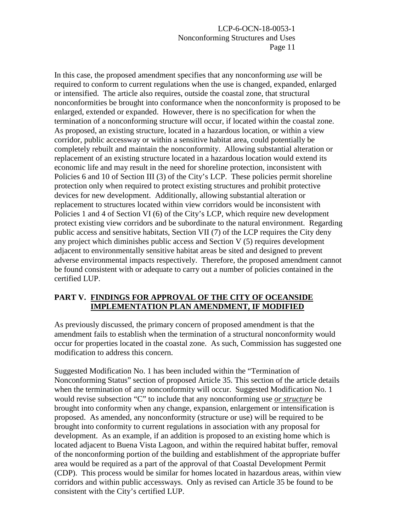In this case, the proposed amendment specifies that any nonconforming *use* will be required to conform to current regulations when the use is changed, expanded, enlarged or intensified. The article also requires, outside the coastal zone, that structural nonconformities be brought into conformance when the nonconformity is proposed to be enlarged, extended or expanded. However, there is no specification for when the termination of a nonconforming structure will occur, if located within the coastal zone. As proposed, an existing structure, located in a hazardous location, or within a view corridor, public accessway or within a sensitive habitat area, could potentially be completely rebuilt and maintain the nonconformity. Allowing substantial alteration or replacement of an existing structure located in a hazardous location would extend its economic life and may result in the need for shoreline protection, inconsistent with Policies 6 and 10 of Section III (3) of the City's LCP. These policies permit shoreline protection only when required to protect existing structures and prohibit protective devices for new development. Additionally, allowing substantial alteration or replacement to structures located within view corridors would be inconsistent with Policies 1 and 4 of Section VI (6) of the City's LCP, which require new development protect existing view corridors and be subordinate to the natural environment. Regarding public access and sensitive habitats, Section VII (7) of the LCP requires the City deny any project which diminishes public access and Section V (5) requires development adjacent to environmentally sensitive habitat areas be sited and designed to prevent adverse environmental impacts respectively. Therefore, the proposed amendment cannot be found consistent with or adequate to carry out a number of policies contained in the certified LUP.

#### **PART V. FINDINGS FOR APPROVAL OF THE CITY OF OCEANSIDE IMPLEMENTATION PLAN AMENDMENT, IF MODIFIED**

As previously discussed, the primary concern of proposed amendment is that the amendment fails to establish when the termination of a structural nonconformity would occur for properties located in the coastal zone. As such, Commission has suggested one modification to address this concern.

Suggested Modification No. 1 has been included within the "Termination of Nonconforming Status" section of proposed Article 35. This section of the article details when the termination of any nonconformity will occur. Suggested Modification No. 1 would revise subsection "C" to include that any nonconforming use *or structure* be brought into conformity when any change, expansion, enlargement or intensification is proposed. As amended, any nonconformity (structure or use) will be required to be brought into conformity to current regulations in association with any proposal for development. As an example, if an addition is proposed to an existing home which is located adjacent to Buena Vista Lagoon, and within the required habitat buffer, removal of the nonconforming portion of the building and establishment of the appropriate buffer area would be required as a part of the approval of that Coastal Development Permit (CDP). This process would be similar for homes located in hazardous areas, within view corridors and within public accessways. Only as revised can Article 35 be found to be consistent with the City's certified LUP.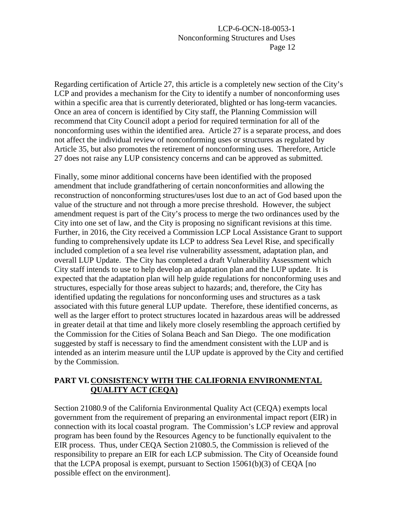Regarding certification of Article 27, this article is a completely new section of the City's LCP and provides a mechanism for the City to identify a number of nonconforming uses within a specific area that is currently deteriorated, blighted or has long-term vacancies. Once an area of concern is identified by City staff, the Planning Commission will recommend that City Council adopt a period for required termination for all of the nonconforming uses within the identified area. Article 27 is a separate process, and does not affect the individual review of nonconforming uses or structures as regulated by Article 35, but also promotes the retirement of nonconforming uses. Therefore, Article 27 does not raise any LUP consistency concerns and can be approved as submitted.

Finally, some minor additional concerns have been identified with the proposed amendment that include grandfathering of certain nonconformities and allowing the reconstruction of nonconforming structures/uses lost due to an act of God based upon the value of the structure and not through a more precise threshold. However, the subject amendment request is part of the City's process to merge the two ordinances used by the City into one set of law, and the City is proposing no significant revisions at this time. Further, in 2016, the City received a Commission LCP Local Assistance Grant to support funding to comprehensively update its LCP to address Sea Level Rise, and specifically included completion of a sea level rise vulnerability assessment, adaptation plan, and overall LUP Update. The City has completed a draft Vulnerability Assessment which City staff intends to use to help develop an adaptation plan and the LUP update. It is expected that the adaptation plan will help guide regulations for nonconforming uses and structures, especially for those areas subject to hazards; and, therefore, the City has identified updating the regulations for nonconforming uses and structures as a task associated with this future general LUP update. Therefore, these identified concerns, as well as the larger effort to protect structures located in hazardous areas will be addressed in greater detail at that time and likely more closely resembling the approach certified by the Commission for the Cities of Solana Beach and San Diego. The one modification suggested by staff is necessary to find the amendment consistent with the LUP and is intended as an interim measure until the LUP update is approved by the City and certified by the Commission.

#### **PART VI. CONSISTENCY WITH THE CALIFORNIA ENVIRONMENTAL QUALITY ACT (CEQA)**

Section 21080.9 of the California Environmental Quality Act (CEQA) exempts local government from the requirement of preparing an environmental impact report (EIR) in connection with its local coastal program. The Commission's LCP review and approval program has been found by the Resources Agency to be functionally equivalent to the EIR process. Thus, under CEQA Section 21080.5, the Commission is relieved of the responsibility to prepare an EIR for each LCP submission. The City of Oceanside found that the LCPA proposal is exempt, pursuant to Section 15061(b)(3) of CEQA [no possible effect on the environment].